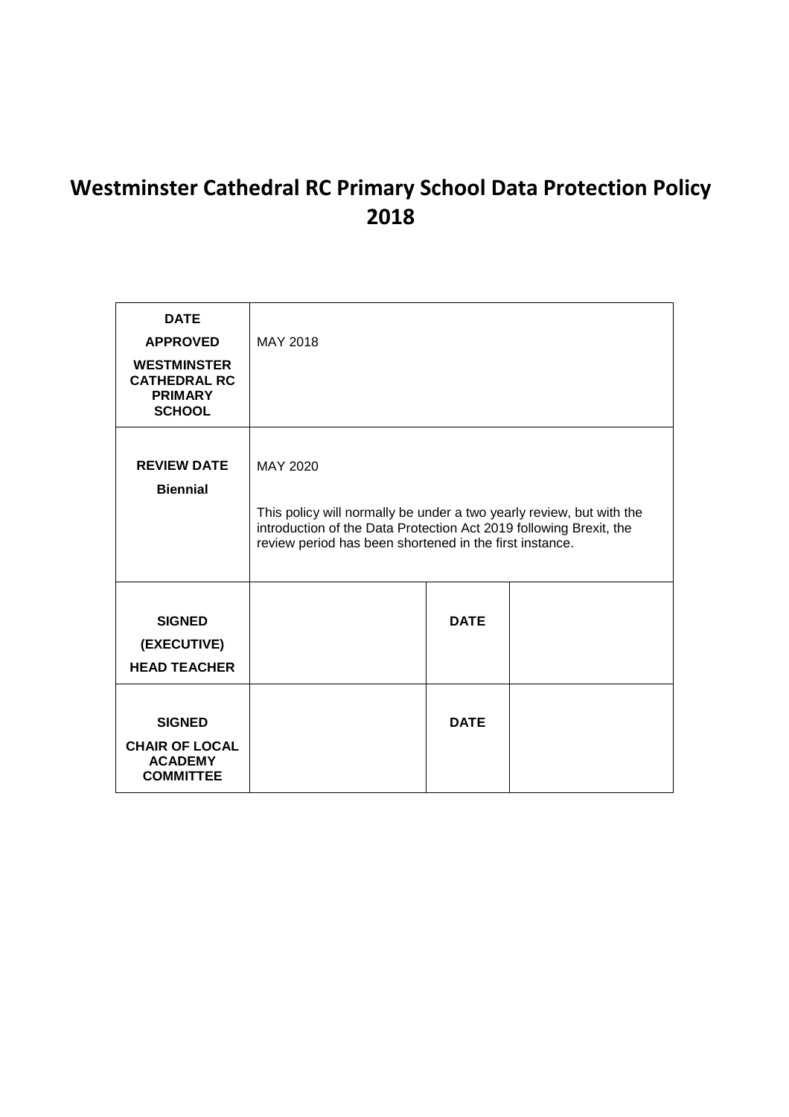# **Westminster Cathedral RC Primary School Data Protection Policy 2018**

| <b>DATE</b><br><b>APPROVED</b><br><b>WESTMINSTER</b><br><b>CATHEDRAL RC</b><br><b>PRIMARY</b><br><b>SCHOOL</b> | MAY 2018                                                                                                                                                                                                          |             |  |
|----------------------------------------------------------------------------------------------------------------|-------------------------------------------------------------------------------------------------------------------------------------------------------------------------------------------------------------------|-------------|--|
| <b>REVIEW DATE</b><br><b>Biennial</b>                                                                          | MAY 2020<br>This policy will normally be under a two yearly review, but with the<br>introduction of the Data Protection Act 2019 following Brexit, the<br>review period has been shortened in the first instance. |             |  |
| <b>SIGNED</b><br>(EXECUTIVE)<br><b>HEAD TEACHER</b>                                                            |                                                                                                                                                                                                                   | <b>DATE</b> |  |
| <b>SIGNED</b><br><b>CHAIR OF LOCAL</b><br><b>ACADEMY</b><br><b>COMMITTEE</b>                                   |                                                                                                                                                                                                                   | <b>DATE</b> |  |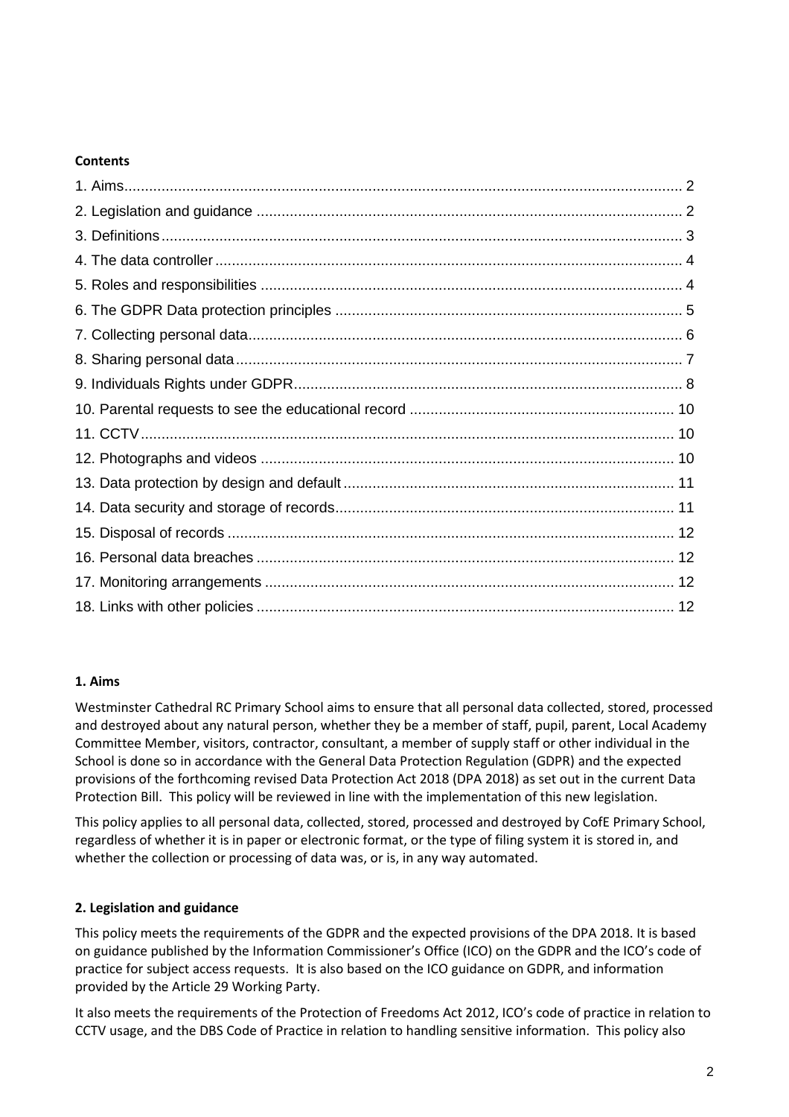### **Contents**

## **1. Aims**

Westminster Cathedral RC Primary School aims to ensure that all personal data collected, stored, processed and destroyed about any natural person, whether they be a member of staff, pupil, parent, Local Academy Committee Member, visitors, contractor, consultant, a member of supply staff or other individual in the School is done so in accordance with the General Data Protection Regulation (GDPR) and the expected provisions of the forthcoming revised Data Protection Act 2018 (DPA 2018) as set out in the current Data Protection Bill. This policy will be reviewed in line with the implementation of this new legislation.

This policy applies to all personal data, collected, stored, processed and destroyed by CofE Primary School, regardless of whether it is in paper or electronic format, or the type of filing system it is stored in, and whether the collection or processing of data was, or is, in any way automated.

## **2. Legislation and guidance**

This policy meets the requirements of the GDPR and the expected provisions of the DPA 2018. It is based on guidance published by the Information Commissioner's Office (ICO) on the GDPR and the ICO's code of practice for subject access requests. It is also based on the ICO guidance on GDPR, and information provided by the Article 29 Working Party.

It also meets the requirements of the Protection of Freedoms Act 2012, ICO's code of practice in relation to CCTV usage, and the DBS Code of Practice in relation to handling sensitive information. This policy also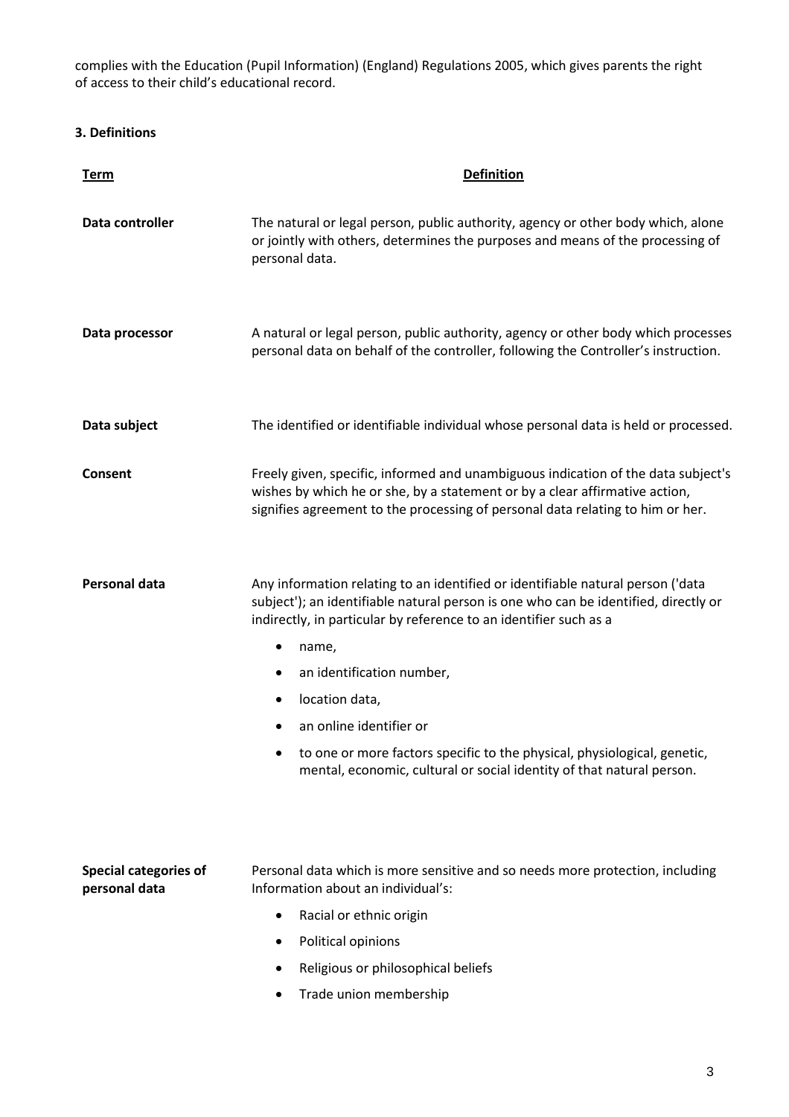complies with the Education (Pupil Information) (England) Regulations 2005, which gives parents the right of access to their child's educational record.

# **3. Definitions**

| <u>Term</u>                                   | <b>Definition</b>                                                                                                                                                                                                                                  |  |
|-----------------------------------------------|----------------------------------------------------------------------------------------------------------------------------------------------------------------------------------------------------------------------------------------------------|--|
| Data controller                               | The natural or legal person, public authority, agency or other body which, alone<br>or jointly with others, determines the purposes and means of the processing of<br>personal data.                                                               |  |
| Data processor                                | A natural or legal person, public authority, agency or other body which processes<br>personal data on behalf of the controller, following the Controller's instruction.                                                                            |  |
| Data subject                                  | The identified or identifiable individual whose personal data is held or processed.                                                                                                                                                                |  |
| Consent                                       | Freely given, specific, informed and unambiguous indication of the data subject's<br>wishes by which he or she, by a statement or by a clear affirmative action,<br>signifies agreement to the processing of personal data relating to him or her. |  |
| Personal data                                 | Any information relating to an identified or identifiable natural person ('data<br>subject'); an identifiable natural person is one who can be identified, directly or<br>indirectly, in particular by reference to an identifier such as a        |  |
|                                               | name,<br>٠                                                                                                                                                                                                                                         |  |
|                                               | an identification number,<br>٠                                                                                                                                                                                                                     |  |
|                                               | location data,                                                                                                                                                                                                                                     |  |
|                                               | an online identifier or                                                                                                                                                                                                                            |  |
|                                               | to one or more factors specific to the physical, physiological, genetic,<br>mental, economic, cultural or social identity of that natural person.                                                                                                  |  |
| <b>Special categories of</b><br>personal data | Personal data which is more sensitive and so needs more protection, including<br>Information about an individual's:                                                                                                                                |  |
|                                               | Racial or ethnic origin<br>$\bullet$                                                                                                                                                                                                               |  |
|                                               | Political opinions                                                                                                                                                                                                                                 |  |
|                                               | Religious or philosophical beliefs                                                                                                                                                                                                                 |  |
|                                               | Trade union membership                                                                                                                                                                                                                             |  |
|                                               |                                                                                                                                                                                                                                                    |  |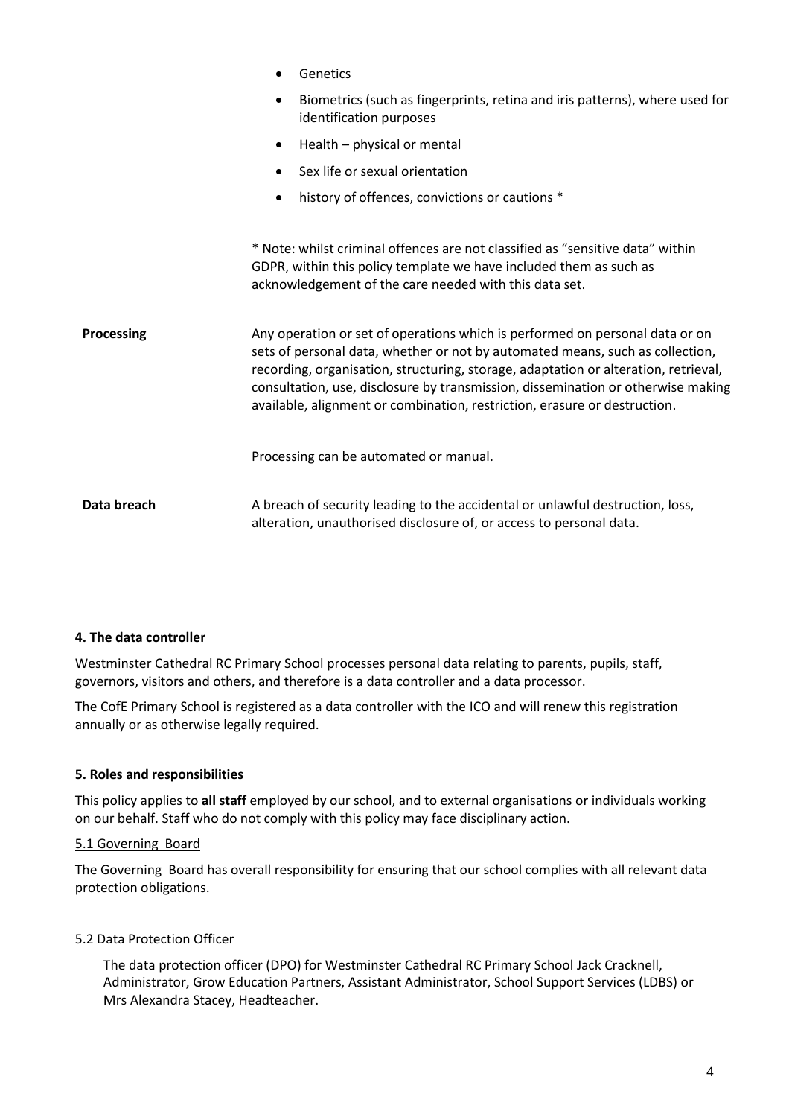|             | Genetics                                                                                                                                                                                                                                                                                                                                                                                                              |  |
|-------------|-----------------------------------------------------------------------------------------------------------------------------------------------------------------------------------------------------------------------------------------------------------------------------------------------------------------------------------------------------------------------------------------------------------------------|--|
|             | Biometrics (such as fingerprints, retina and iris patterns), where used for<br>$\bullet$<br>identification purposes                                                                                                                                                                                                                                                                                                   |  |
|             | Health - physical or mental<br>$\bullet$                                                                                                                                                                                                                                                                                                                                                                              |  |
|             | Sex life or sexual orientation                                                                                                                                                                                                                                                                                                                                                                                        |  |
|             | history of offences, convictions or cautions *<br>$\bullet$                                                                                                                                                                                                                                                                                                                                                           |  |
|             |                                                                                                                                                                                                                                                                                                                                                                                                                       |  |
|             | * Note: whilst criminal offences are not classified as "sensitive data" within<br>GDPR, within this policy template we have included them as such as<br>acknowledgement of the care needed with this data set.                                                                                                                                                                                                        |  |
| Processing  | Any operation or set of operations which is performed on personal data or on<br>sets of personal data, whether or not by automated means, such as collection,<br>recording, organisation, structuring, storage, adaptation or alteration, retrieval,<br>consultation, use, disclosure by transmission, dissemination or otherwise making<br>available, alignment or combination, restriction, erasure or destruction. |  |
|             | Processing can be automated or manual.                                                                                                                                                                                                                                                                                                                                                                                |  |
| Data breach | A breach of security leading to the accidental or unlawful destruction, loss,<br>alteration, unauthorised disclosure of, or access to personal data.                                                                                                                                                                                                                                                                  |  |

#### **4. The data controller**

Westminster Cathedral RC Primary School processes personal data relating to parents, pupils, staff, governors, visitors and others, and therefore is a data controller and a data processor.

The CofE Primary School is registered as a data controller with the ICO and will renew this registration annually or as otherwise legally required.

#### **5. Roles and responsibilities**

This policy applies to **all staff** employed by our school, and to external organisations or individuals working on our behalf. Staff who do not comply with this policy may face disciplinary action.

#### 5.1 Governing Board

The Governing Board has overall responsibility for ensuring that our school complies with all relevant data protection obligations.

#### 5.2 Data Protection Officer

The data protection officer (DPO) for Westminster Cathedral RC Primary School Jack Cracknell, Administrator, Grow Education Partners, Assistant Administrator, School Support Services (LDBS) or Mrs Alexandra Stacey, Headteacher.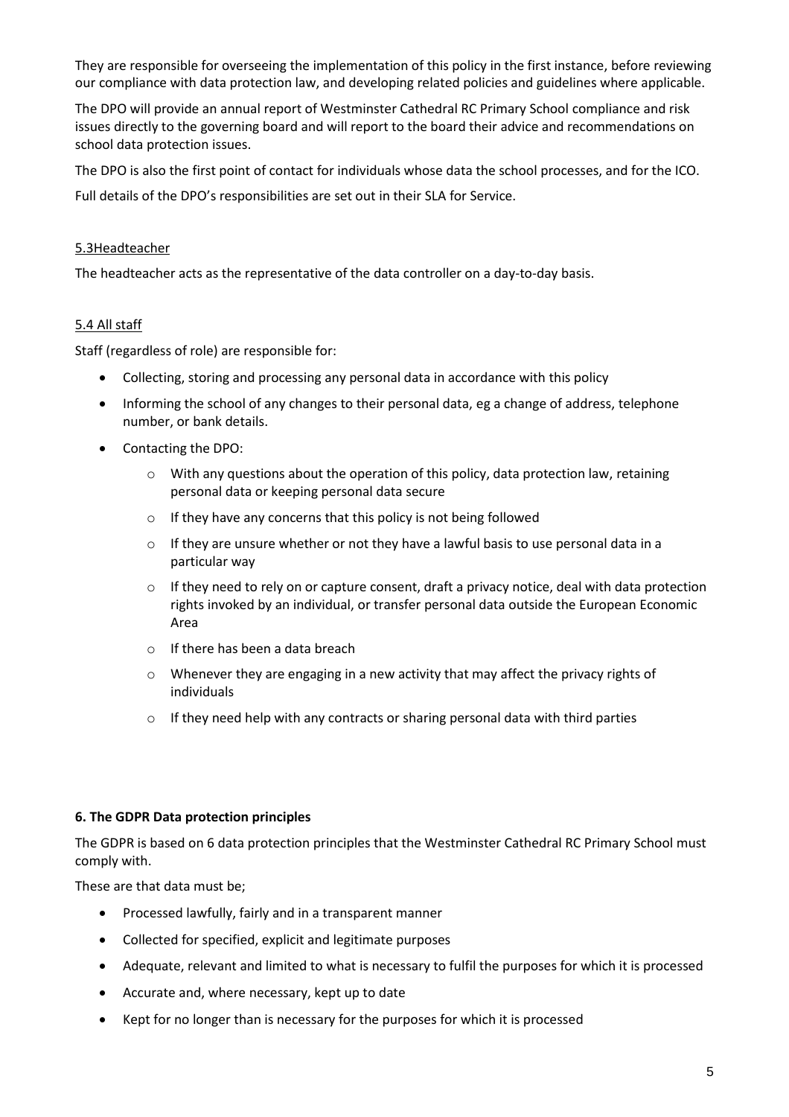They are responsible for overseeing the implementation of this policy in the first instance, before reviewing our compliance with data protection law, and developing related policies and guidelines where applicable.

The DPO will provide an annual report of Westminster Cathedral RC Primary School compliance and risk issues directly to the governing board and will report to the board their advice and recommendations on school data protection issues.

The DPO is also the first point of contact for individuals whose data the school processes, and for the ICO.

Full details of the DPO's responsibilities are set out in their SLA for Service.

### 5.3Headteacher

The headteacher acts as the representative of the data controller on a day-to-day basis.

### 5.4 All staff

Staff (regardless of role) are responsible for:

- Collecting, storing and processing any personal data in accordance with this policy
- Informing the school of any changes to their personal data, eg a change of address, telephone number, or bank details.
- Contacting the DPO:
	- $\circ$  With any questions about the operation of this policy, data protection law, retaining personal data or keeping personal data secure
	- o If they have any concerns that this policy is not being followed
	- $\circ$  If they are unsure whether or not they have a lawful basis to use personal data in a particular way
	- $\circ$  If they need to rely on or capture consent, draft a privacy notice, deal with data protection rights invoked by an individual, or transfer personal data outside the European Economic Area
	- o If there has been a data breach
	- $\circ$  Whenever they are engaging in a new activity that may affect the privacy rights of individuals
	- o If they need help with any contracts or sharing personal data with third parties

#### **6. The GDPR Data protection principles**

The GDPR is based on 6 data protection principles that the Westminster Cathedral RC Primary School must comply with.

These are that data must be;

- Processed lawfully, fairly and in a transparent manner
- Collected for specified, explicit and legitimate purposes
- Adequate, relevant and limited to what is necessary to fulfil the purposes for which it is processed
- Accurate and, where necessary, kept up to date
- Kept for no longer than is necessary for the purposes for which it is processed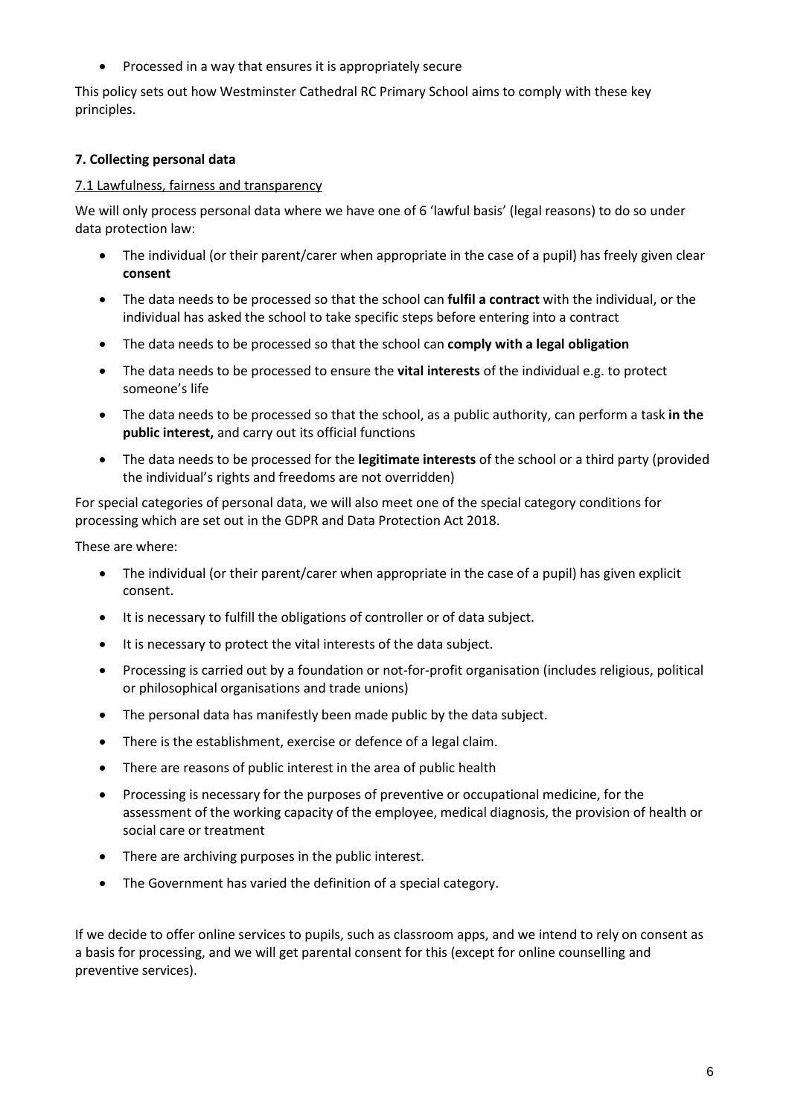Processed in a way that ensures it is appropriately secure

This policy sets out how Westminster Cathedral RC Primary School aims to comply with these key principles.

# **7. Collecting personal data**

## 7.1 Lawfulness, fairness and transparency

We will only process personal data where we have one of 6 'lawful basis' (legal reasons) to do so under data protection law:

- The individual (or their parent/carer when appropriate in the case of a pupil) has freely given clear **consent**
- The data needs to be processed so that the school can **fulfil a contract** with the individual, or the individual has asked the school to take specific steps before entering into a contract
- The data needs to be processed so that the school can **comply with a legal obligation**
- The data needs to be processed to ensure the **vital interests** of the individual e.g. to protect someone's life
- The data needs to be processed so that the school, as a public authority, can perform a task **in the public interest,** and carry out its official functions
- The data needs to be processed for the **legitimate interests** of the school or a third party (provided the individual's rights and freedoms are not overridden)

For special categories of personal data, we will also meet one of the special category conditions for processing which are set out in the GDPR and Data Protection Act 2018.

These are where:

- The individual (or their parent/carer when appropriate in the case of a pupil) has given explicit consent.
- It is necessary to fulfill the obligations of controller or of data subject.
- It is necessary to protect the vital interests of the data subject.
- Processing is carried out by a foundation or not-for-profit organisation (includes religious, political or philosophical organisations and trade unions)
- The personal data has manifestly been made public by the data subject.
- There is the establishment, exercise or defence of a legal claim.
- There are reasons of public interest in the area of public health
- Processing is necessary for the purposes of preventive or occupational medicine, for the assessment of the working capacity of the employee, medical diagnosis, the provision of health or social care or treatment
- There are archiving purposes in the public interest.
- The Government has varied the definition of a special category.

If we decide to offer online services to pupils, such as classroom apps, and we intend to rely on consent as a basis for processing, and we will get parental consent for this (except for online counselling and preventive services).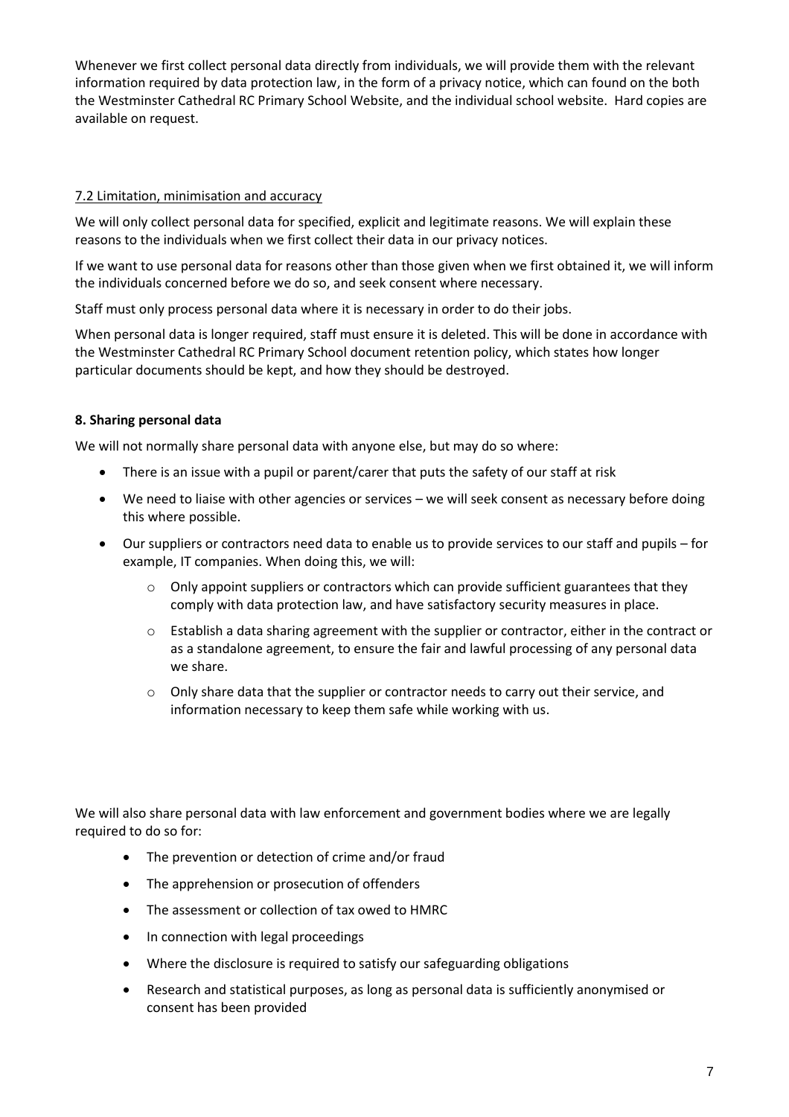Whenever we first collect personal data directly from individuals, we will provide them with the relevant information required by data protection law, in the form of a privacy notice, which can found on the both the Westminster Cathedral RC Primary School Website, and the individual school website. Hard copies are available on request.

## 7.2 Limitation, minimisation and accuracy

We will only collect personal data for specified, explicit and legitimate reasons. We will explain these reasons to the individuals when we first collect their data in our privacy notices.

If we want to use personal data for reasons other than those given when we first obtained it, we will inform the individuals concerned before we do so, and seek consent where necessary.

Staff must only process personal data where it is necessary in order to do their jobs.

When personal data is longer required, staff must ensure it is deleted. This will be done in accordance with the Westminster Cathedral RC Primary School document retention policy, which states how longer particular documents should be kept, and how they should be destroyed.

## **8. Sharing personal data**

We will not normally share personal data with anyone else, but may do so where:

- There is an issue with a pupil or parent/carer that puts the safety of our staff at risk
- We need to liaise with other agencies or services we will seek consent as necessary before doing this where possible.
- Our suppliers or contractors need data to enable us to provide services to our staff and pupils for example, IT companies. When doing this, we will:
	- $\circ$  Only appoint suppliers or contractors which can provide sufficient guarantees that they comply with data protection law, and have satisfactory security measures in place.
	- o Establish a data sharing agreement with the supplier or contractor, either in the contract or as a standalone agreement, to ensure the fair and lawful processing of any personal data we share.
	- $\circ$  Only share data that the supplier or contractor needs to carry out their service, and information necessary to keep them safe while working with us.

We will also share personal data with law enforcement and government bodies where we are legally required to do so for:

- The prevention or detection of crime and/or fraud
- The apprehension or prosecution of offenders
- The assessment or collection of tax owed to HMRC
- In connection with legal proceedings
- Where the disclosure is required to satisfy our safeguarding obligations
- Research and statistical purposes, as long as personal data is sufficiently anonymised or consent has been provided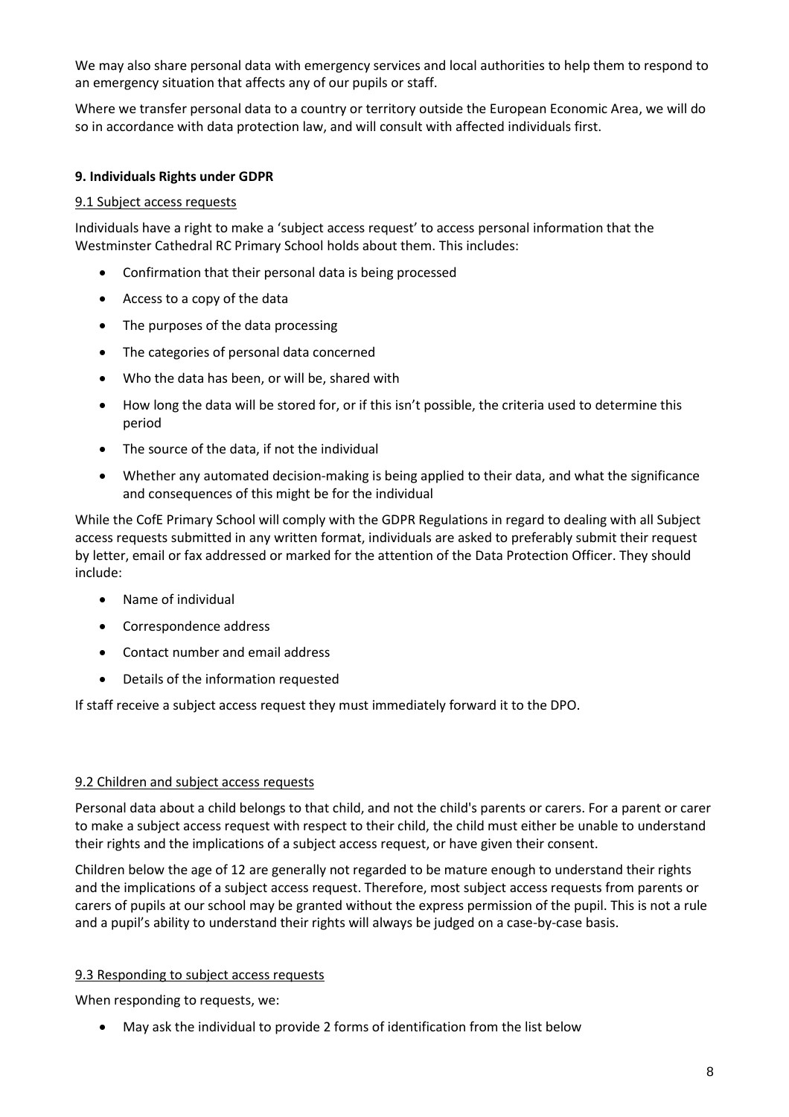We may also share personal data with emergency services and local authorities to help them to respond to an emergency situation that affects any of our pupils or staff.

Where we transfer personal data to a country or territory outside the European Economic Area, we will do so in accordance with data protection law, and will consult with affected individuals first.

## **9. Individuals Rights under GDPR**

#### 9.1 Subject access requests

Individuals have a right to make a 'subject access request' to access personal information that the Westminster Cathedral RC Primary School holds about them. This includes:

- Confirmation that their personal data is being processed
- Access to a copy of the data
- The purposes of the data processing
- The categories of personal data concerned
- Who the data has been, or will be, shared with
- How long the data will be stored for, or if this isn't possible, the criteria used to determine this period
- The source of the data, if not the individual
- Whether any automated decision-making is being applied to their data, and what the significance and consequences of this might be for the individual

While the CofE Primary School will comply with the GDPR Regulations in regard to dealing with all Subject access requests submitted in any written format, individuals are asked to preferably submit their request by letter, email or fax addressed or marked for the attention of the Data Protection Officer. They should include:

- Name of individual
- Correspondence address
- Contact number and email address
- Details of the information requested

If staff receive a subject access request they must immediately forward it to the DPO.

#### 9.2 Children and subject access requests

Personal data about a child belongs to that child, and not the child's parents or carers. For a parent or carer to make a subject access request with respect to their child, the child must either be unable to understand their rights and the implications of a subject access request, or have given their consent.

Children below the age of 12 are generally not regarded to be mature enough to understand their rights and the implications of a subject access request. Therefore, most subject access requests from parents or carers of pupils at our school may be granted without the express permission of the pupil. This is not a rule and a pupil's ability to understand their rights will always be judged on a case-by-case basis.

#### 9.3 Responding to subject access requests

When responding to requests, we:

May ask the individual to provide 2 forms of identification from the list below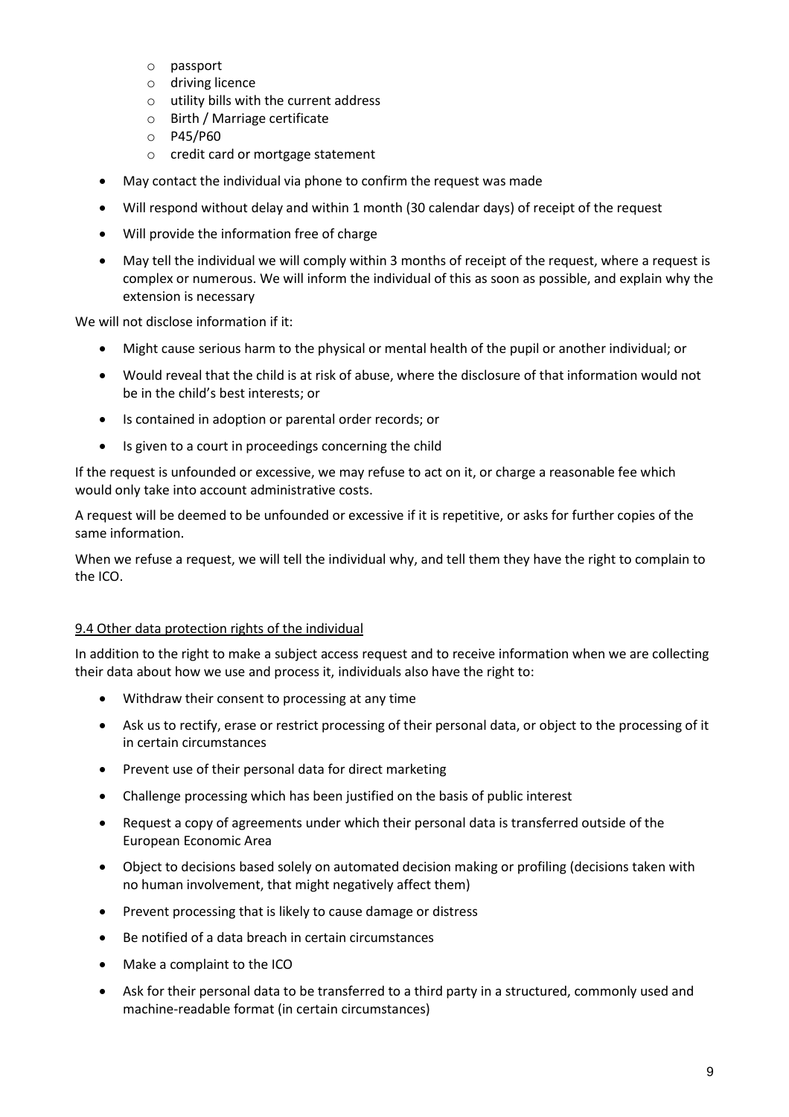- o passport
- o driving licence
- o utility bills with the current address
- o Birth / Marriage certificate
- o P45/P60
- o credit card or mortgage statement
- May contact the individual via phone to confirm the request was made
- Will respond without delay and within 1 month (30 calendar days) of receipt of the request
- Will provide the information free of charge
- May tell the individual we will comply within 3 months of receipt of the request, where a request is complex or numerous. We will inform the individual of this as soon as possible, and explain why the extension is necessary

We will not disclose information if it:

- Might cause serious harm to the physical or mental health of the pupil or another individual; or
- Would reveal that the child is at risk of abuse, where the disclosure of that information would not be in the child's best interests; or
- Is contained in adoption or parental order records; or
- Is given to a court in proceedings concerning the child

If the request is unfounded or excessive, we may refuse to act on it, or charge a reasonable fee which would only take into account administrative costs.

A request will be deemed to be unfounded or excessive if it is repetitive, or asks for further copies of the same information.

When we refuse a request, we will tell the individual why, and tell them they have the right to complain to the ICO.

#### 9.4 Other data protection rights of the individual

In addition to the right to make a subject access request and to receive information when we are collecting their data about how we use and process it, individuals also have the right to:

- Withdraw their consent to processing at any time
- Ask us to rectify, erase or restrict processing of their personal data, or object to the processing of it in certain circumstances
- Prevent use of their personal data for direct marketing
- Challenge processing which has been justified on the basis of public interest
- Request a copy of agreements under which their personal data is transferred outside of the European Economic Area
- Object to decisions based solely on automated decision making or profiling (decisions taken with no human involvement, that might negatively affect them)
- Prevent processing that is likely to cause damage or distress
- Be notified of a data breach in certain circumstances
- Make a complaint to the ICO
- Ask for their personal data to be transferred to a third party in a structured, commonly used and machine-readable format (in certain circumstances)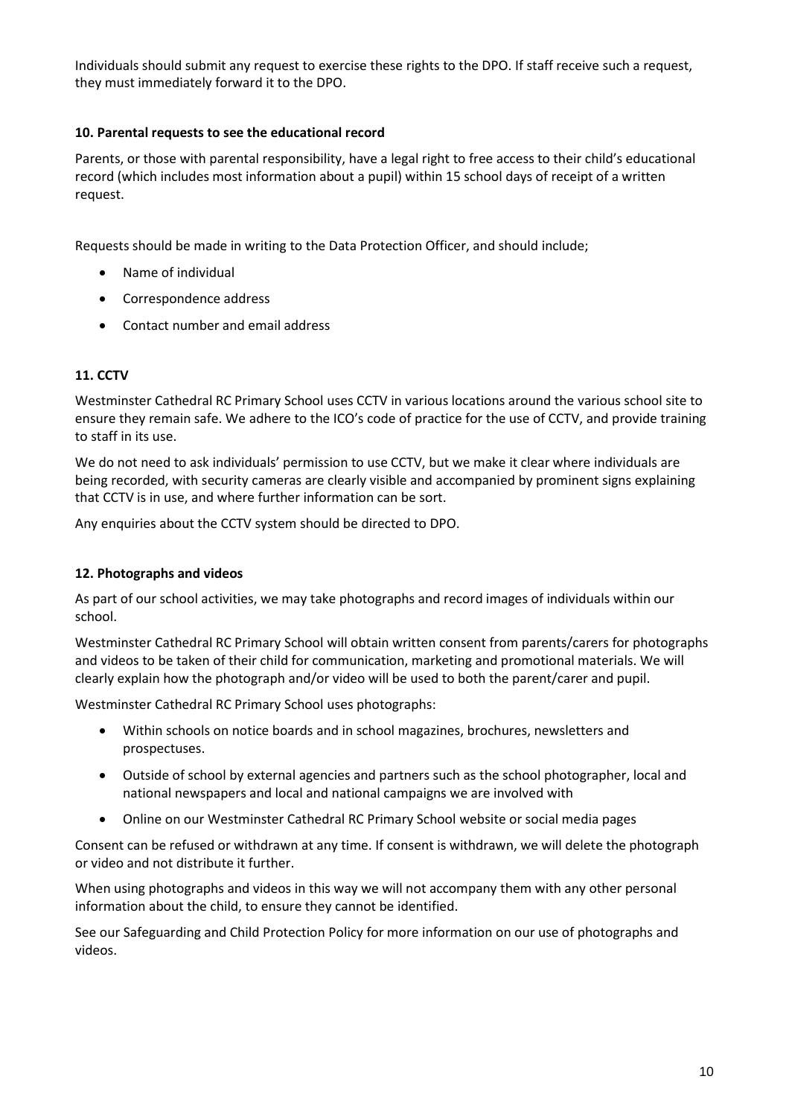Individuals should submit any request to exercise these rights to the DPO. If staff receive such a request, they must immediately forward it to the DPO.

## **10. Parental requests to see the educational record**

Parents, or those with parental responsibility, have a legal right to free access to their child's educational record (which includes most information about a pupil) within 15 school days of receipt of a written request.

Requests should be made in writing to the Data Protection Officer, and should include;

- Name of individual
- Correspondence address
- Contact number and email address

# **11. CCTV**

Westminster Cathedral RC Primary School uses CCTV in various locations around the various school site to ensure they remain safe. We adhere to the ICO's code of practice for the use of CCTV, and provide training to staff in its use.

We do not need to ask individuals' permission to use CCTV, but we make it clear where individuals are being recorded, with security cameras are clearly visible and accompanied by prominent signs explaining that CCTV is in use, and where further information can be sort.

Any enquiries about the CCTV system should be directed to DPO.

## **12. Photographs and videos**

As part of our school activities, we may take photographs and record images of individuals within our school.

Westminster Cathedral RC Primary School will obtain written consent from parents/carers for photographs and videos to be taken of their child for communication, marketing and promotional materials. We will clearly explain how the photograph and/or video will be used to both the parent/carer and pupil.

Westminster Cathedral RC Primary School uses photographs:

- Within schools on notice boards and in school magazines, brochures, newsletters and prospectuses.
- Outside of school by external agencies and partners such as the school photographer, local and national newspapers and local and national campaigns we are involved with
- Online on our Westminster Cathedral RC Primary School website or social media pages

Consent can be refused or withdrawn at any time. If consent is withdrawn, we will delete the photograph or video and not distribute it further.

When using photographs and videos in this way we will not accompany them with any other personal information about the child, to ensure they cannot be identified.

See our Safeguarding and Child Protection Policy for more information on our use of photographs and videos.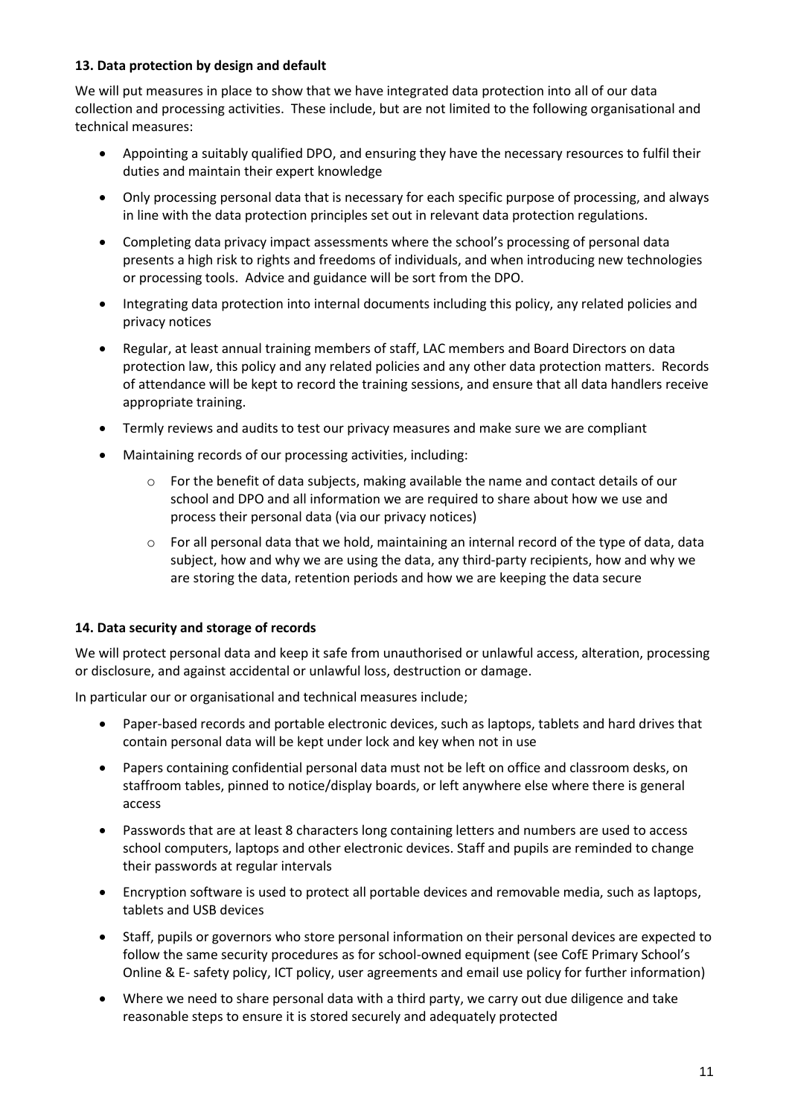# **13. Data protection by design and default**

We will put measures in place to show that we have integrated data protection into all of our data collection and processing activities. These include, but are not limited to the following organisational and technical measures:

- Appointing a suitably qualified DPO, and ensuring they have the necessary resources to fulfil their duties and maintain their expert knowledge
- Only processing personal data that is necessary for each specific purpose of processing, and always in line with the data protection principles set out in relevant data protection regulations.
- Completing data privacy impact assessments where the school's processing of personal data presents a high risk to rights and freedoms of individuals, and when introducing new technologies or processing tools. Advice and guidance will be sort from the DPO.
- Integrating data protection into internal documents including this policy, any related policies and privacy notices
- Regular, at least annual training members of staff, LAC members and Board Directors on data protection law, this policy and any related policies and any other data protection matters. Records of attendance will be kept to record the training sessions, and ensure that all data handlers receive appropriate training.
- Termly reviews and audits to test our privacy measures and make sure we are compliant
- Maintaining records of our processing activities, including:
	- o For the benefit of data subjects, making available the name and contact details of our school and DPO and all information we are required to share about how we use and process their personal data (via our privacy notices)
	- $\circ$  For all personal data that we hold, maintaining an internal record of the type of data, data subject, how and why we are using the data, any third-party recipients, how and why we are storing the data, retention periods and how we are keeping the data secure

## **14. Data security and storage of records**

We will protect personal data and keep it safe from unauthorised or unlawful access, alteration, processing or disclosure, and against accidental or unlawful loss, destruction or damage.

In particular our or organisational and technical measures include;

- Paper-based records and portable electronic devices, such as laptops, tablets and hard drives that contain personal data will be kept under lock and key when not in use
- Papers containing confidential personal data must not be left on office and classroom desks, on staffroom tables, pinned to notice/display boards, or left anywhere else where there is general access
- Passwords that are at least 8 characters long containing letters and numbers are used to access school computers, laptops and other electronic devices. Staff and pupils are reminded to change their passwords at regular intervals
- Encryption software is used to protect all portable devices and removable media, such as laptops, tablets and USB devices
- Staff, pupils or governors who store personal information on their personal devices are expected to follow the same security procedures as for school-owned equipment (see CofE Primary School's Online & E- safety policy, ICT policy, user agreements and email use policy for further information)
- Where we need to share personal data with a third party, we carry out due diligence and take reasonable steps to ensure it is stored securely and adequately protected